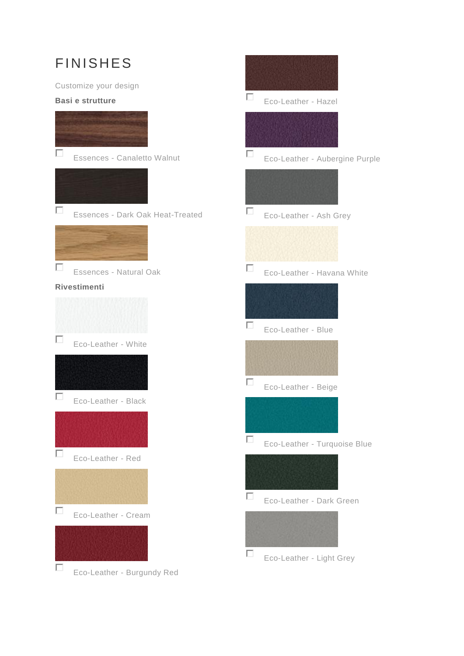## **FINISHES**

Customize your design

## **Basi e strutture**



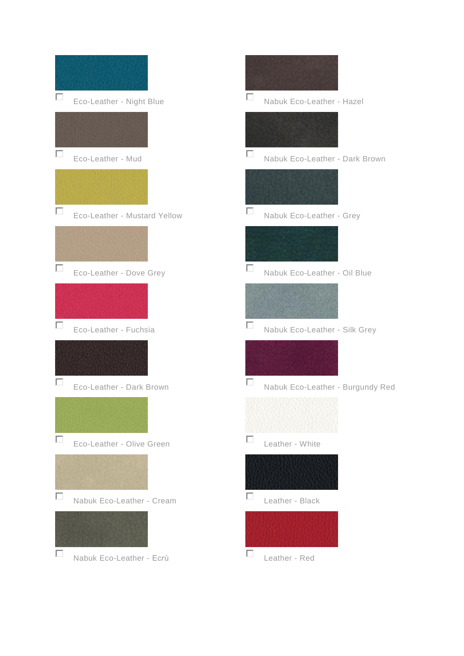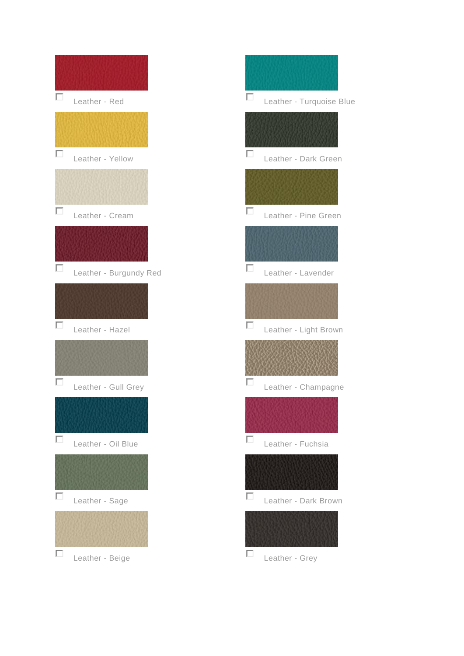

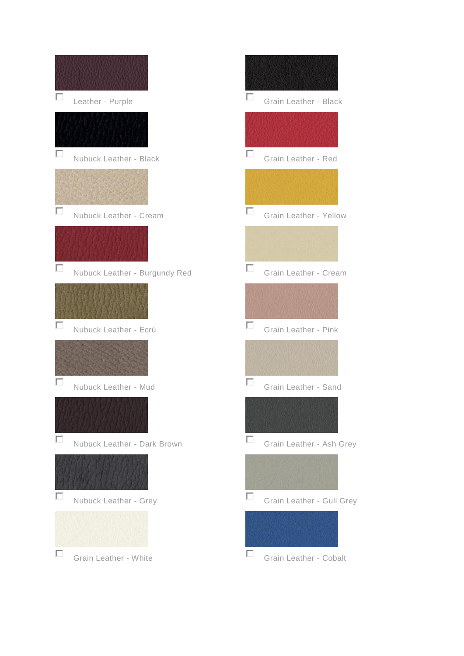